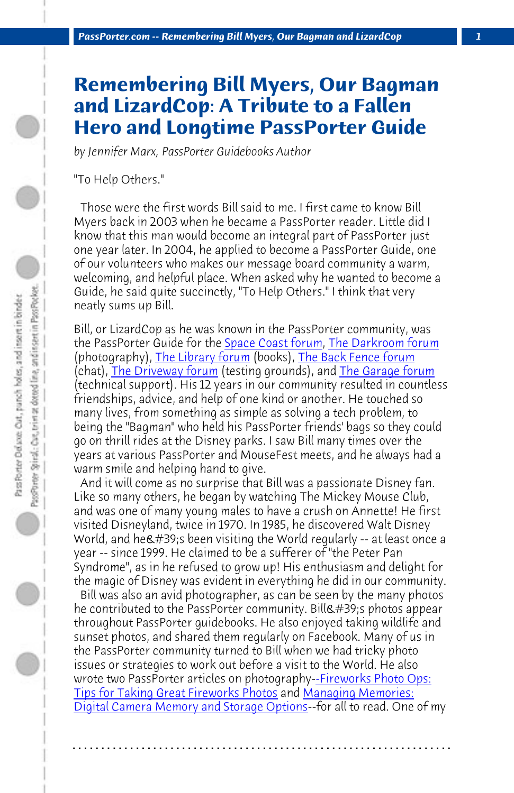*PassPorter.com -- Remembering Bill Myers, Our Bagman and LizardCop 1*

## **Remembering Bill Myers, Our Bagman and LizardCop: [A Tribute t](http://(http://www.passporterboards.com/forums/space-coast-other-florida-kennedy-space-center-florida-keys/)[o a Fallen](http://www.passporterboards.com/forums/darkroom-photography-videotaping/) Her[o and](http://www.passporterboards.com/forums/driveway-testing-grounds/) [Longtime](http://www.passporterboards.com/forums/library-books-tv-movies-music/) Pas[sPorter Guid](http://www.passporterboards.com/forums/backyard-gatherings-meets-group-trips/)[e](http://www.passporterboards.com/forums/garage-technical-support/)**

*by Jennifer Marx, PassPorter Guidebooks Author*

"To Help Others."

 Those were the first words Bill said to me. I first came to know Bill Myers back in 2003 when he became a PassPorter reader. Little did I know that this man would become an integral part of PassPorter just one year later. In 2004, he applied to become a PassPorter Guide, one of our volunteers who makes our message board community a warm, welcoming, and helpful place. When asked why he wanted to become a Guide, he said quite succinctly, "To Help Others." I think that very neatly sums up Bill.

Bill, or LizardCop as he was known in the PassPorter community, was the PassPorter Guide for the Space Coast forum, The Darkroom forum (photography), The Library forum (books), The Back Fence forum (chat), The Driveway forum (testing grounds), and The Garage forum (technical support). His 12 years in our community resulted in countless friendships, advice, and help of one kind or another. He touched so many lives, from something as simple as solving a tech problem, to being the "Bagman" who held his PassPorter friends' bags so they could go on thrill rides at the Disney parks. I saw Bill [many times over the](http://www.passporter.com/articles/taking-great-fireworks-photos%20.php) [years at various PassPorter and MouseF](http://www.passporter.com/articles/taking-great-fireworks-photos%20.php)est [meets, and he always h](http://www.passporter.com/articles/digital-camera-memory-storage.php)ad a [warm smile and helping hand to give.](http://www.passporter.com/articles/digital-camera-memory-storage.php)

 And it will come as no surprise that Bill was a passionate Disney fan. Like so many others, he began by watching The Mickey Mouse Club, and was one of many young males to have a crush on Annette! He first visited Disneyland, twice in 1970. In 1985, he discovered Walt Disney World, and he $\&\#39$ ; been visiting the World regularly -- at least once a year -- since 1999. He claimed to be a sufferer of "the Peter Pan Syndrome", as in he refused to grow up! His enthusiasm and delight for the magic of Disney was evident in everything he did in our community.

 Bill was also an avid photographer, as can be seen by the many photos he contributed to the PassPorter community. Bill & #39; s photos appear throughout PassPorter guidebooks. He also enjoyed taking wildlife and sunset photos, and shared them regularly on Facebook. Many of us in the PassPorter community turned to Bill when we had tricky photo issues or strategies to work out before a visit to the World. He also wrote two PassPorter articles on photography--Fireworks Photo Ops: Tips for Taking Great Fireworks Photos and Managing Memories: Digital Camera Memory and Storage Options--for all to read. One of my

**. . . . . . . . . . . . . . . . . . . . . . . . . . . . . . . . . . . . . . . . . . . . . . . . . . . . . . . . . . . . . . . . . .**